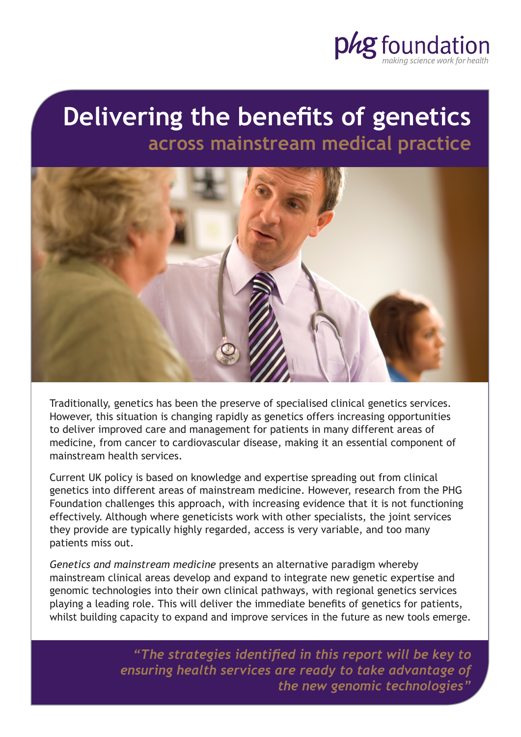

# **Delivering the benefits of genetics across mainstream medical practice**



Traditionally, genetics has been the preserve of specialised clinical genetics services. However, this situation is changing rapidly as genetics offers increasing opportunities to deliver improved care and management for patients in many different areas of medicine, from cancer to cardiovascular disease, making it an essential component of mainstream health services.

Current UK policy is based on knowledge and expertise spreading out from clinical genetics into different areas of mainstream medicine. However, research from the PHG Foundation challenges this approach, with increasing evidence that it is not functioning effectively. Although where geneticists work with other specialists, the joint services they provide are typically highly regarded, access is very variable, and too many patients miss out.

*Genetics and mainstream medicine* presents an alternative paradigm whereby mainstream clinical areas develop and expand to integrate new genetic expertise and genomic technologies into their own clinical pathways, with regional genetics services playing a leading role. This will deliver the immediate benefits of genetics for patients, whilst building capacity to expand and improve services in the future as new tools emerge.

> *"The strategies identified in this report will be key to ensuring health services are ready to take advantage of the new genomic technologies"*